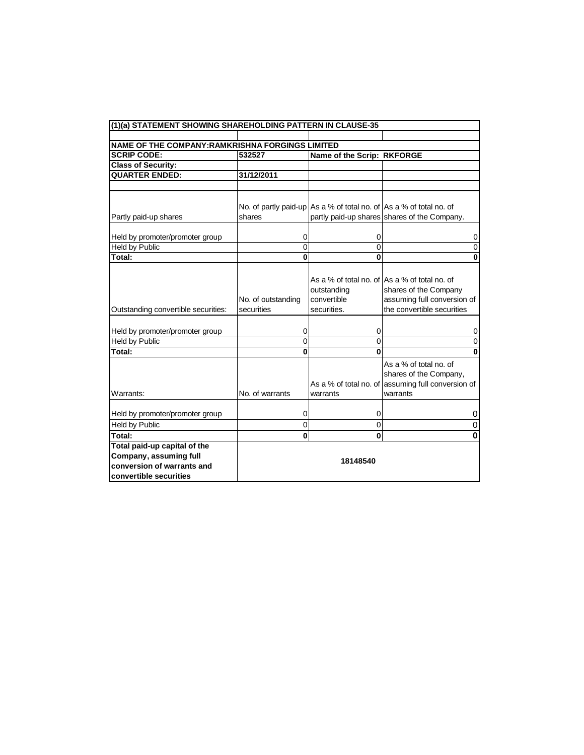| (1)(a) STATEMENT SHOWING SHAREHOLDING PATTERN IN CLAUSE-35                                                     |                                  |                                                                     |                                                                                                                                     |  |  |  |
|----------------------------------------------------------------------------------------------------------------|----------------------------------|---------------------------------------------------------------------|-------------------------------------------------------------------------------------------------------------------------------------|--|--|--|
|                                                                                                                |                                  |                                                                     |                                                                                                                                     |  |  |  |
| NAME OF THE COMPANY: RAMKRISHNA FORGINGS LIMITED                                                               |                                  |                                                                     |                                                                                                                                     |  |  |  |
| <b>SCRIP CODE:</b>                                                                                             | 532527                           | Name of the Scrip: RKFORGE                                          |                                                                                                                                     |  |  |  |
| <b>Class of Security:</b>                                                                                      |                                  |                                                                     |                                                                                                                                     |  |  |  |
| <b>QUARTER ENDED:</b>                                                                                          | 31/12/2011                       |                                                                     |                                                                                                                                     |  |  |  |
|                                                                                                                |                                  |                                                                     |                                                                                                                                     |  |  |  |
|                                                                                                                |                                  |                                                                     |                                                                                                                                     |  |  |  |
|                                                                                                                |                                  | No. of partly paid-up As a % of total no. of As a % of total no. of |                                                                                                                                     |  |  |  |
| Partly paid-up shares                                                                                          | shares                           |                                                                     | partly paid-up shares shares of the Company.                                                                                        |  |  |  |
|                                                                                                                |                                  |                                                                     |                                                                                                                                     |  |  |  |
| Held by promoter/promoter group                                                                                | 0                                | 0                                                                   | 0                                                                                                                                   |  |  |  |
| <b>Held by Public</b>                                                                                          | 0                                | 0                                                                   | $\overline{0}$                                                                                                                      |  |  |  |
| Total:                                                                                                         | $\bf{0}$                         | $\bf{0}$                                                            | $\bf{0}$                                                                                                                            |  |  |  |
| Outstanding convertible securities:                                                                            | No. of outstanding<br>securities | outstanding<br>convertible<br>securities.                           | As a % of total no. of As a % of total no. of<br>shares of the Company<br>assuming full conversion of<br>the convertible securities |  |  |  |
| Held by promoter/promoter group                                                                                | 0                                | 0                                                                   | 0                                                                                                                                   |  |  |  |
| <b>Held by Public</b>                                                                                          | 0                                | 0                                                                   | 0                                                                                                                                   |  |  |  |
| Total:                                                                                                         | 0                                | $\bf{0}$                                                            | $\mathbf 0$                                                                                                                         |  |  |  |
| Warrants:                                                                                                      | No. of warrants                  | warrants                                                            | As a % of total no. of<br>shares of the Company,<br>As a % of total no. of assuming full conversion of<br>warrants                  |  |  |  |
| Held by promoter/promoter group                                                                                | 0                                | 0                                                                   | 0                                                                                                                                   |  |  |  |
| <b>Held by Public</b>                                                                                          | $\boldsymbol{0}$                 | $\mathbf 0$                                                         | 0                                                                                                                                   |  |  |  |
| Total:                                                                                                         | 0                                | 0                                                                   | 0                                                                                                                                   |  |  |  |
| Total paid-up capital of the<br>Company, assuming full<br>conversion of warrants and<br>convertible securities | 18148540                         |                                                                     |                                                                                                                                     |  |  |  |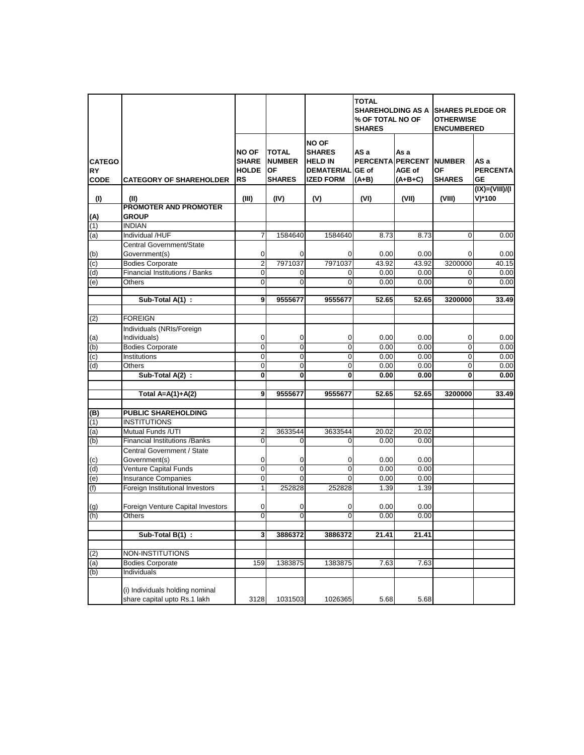|                                     |                                                                 |                                                           |                                                             |                                                                                          | <b>TOTAL</b><br><b>SHAREHOLDING AS A</b><br>% OF TOTAL NO OF<br><b>SHARES</b> |                             | <b>SHARES PLEDGE OR</b><br><b>OTHERWISE</b><br><b>ENCUMBERED</b> |                                            |  |
|-------------------------------------|-----------------------------------------------------------------|-----------------------------------------------------------|-------------------------------------------------------------|------------------------------------------------------------------------------------------|-------------------------------------------------------------------------------|-----------------------------|------------------------------------------------------------------|--------------------------------------------|--|
| <b>CATEGO</b><br>RY)<br><b>CODE</b> | <b>CATEGORY OF SHAREHOLDER</b>                                  | <b>NO OF</b><br><b>SHARE</b><br><b>HOLDE</b><br><b>RS</b> | <b>TOTAL</b><br><b>NUMBER</b><br><b>OF</b><br><b>SHARES</b> | <b>NO OF</b><br><b>SHARES</b><br><b>HELD IN</b><br><b>DEMATERIAL</b><br><b>IZED FORM</b> | AS a<br><b>PERCENTA PERCENT</b><br>GE of<br>$(A+B)$                           | As a<br>AGE of<br>$(A+B+C)$ | <b>NUMBER</b><br><b>OF</b><br><b>SHARES</b>                      | AS a<br><b>PERCENTA</b><br><b>GE</b>       |  |
| (1)                                 | (II)                                                            | (III)                                                     | (IV)                                                        | (V)                                                                                      | (VI)                                                                          | (VII)                       | (VIII)                                                           | $(IX) = (VIII)/(I$<br>$V$ <sup>*</sup> 100 |  |
| $(A)$<br>(1)                        | <b>PROMOTER AND PROMOTER</b><br><b>GROUP</b>                    |                                                           |                                                             |                                                                                          |                                                                               |                             |                                                                  |                                            |  |
|                                     | <b>INDIAN</b>                                                   |                                                           |                                                             |                                                                                          |                                                                               |                             |                                                                  |                                            |  |
| (a)                                 | Individual /HUF                                                 | $\overline{7}$                                            | 1584640                                                     | 1584640                                                                                  | 8.73                                                                          | 8.73                        | $\Omega$                                                         | 0.00                                       |  |
| $\frac{(b)}{(c)}$                   | Central Government/State<br>Government(s)                       | $\mathbf 0$                                               | 0                                                           | 0                                                                                        | 0.00                                                                          | 0.00                        | 0                                                                | 0.00                                       |  |
|                                     | <b>Bodies Corporate</b>                                         | $\overline{2}$                                            | 7971037                                                     | 7971037                                                                                  | 43.92                                                                         | 43.92                       | 3200000                                                          | 40.15                                      |  |
| (d)                                 | Financial Institutions / Banks                                  | $\overline{\mathbf{0}}$                                   | 0                                                           | $\overline{0}$                                                                           | 0.00                                                                          | 0.00                        | $\Omega$                                                         | 0.00                                       |  |
| (e)                                 | Others                                                          | $\mathbf 0$                                               | 0                                                           | $\Omega$                                                                                 | 0.00                                                                          | 0.00                        | $\Omega$                                                         | 0.00                                       |  |
|                                     | Sub-Total A(1) :                                                | 9                                                         | 9555677                                                     | 9555677                                                                                  | 52.65                                                                         | 52.65                       | 3200000                                                          | 33.49                                      |  |
|                                     | <b>FOREIGN</b>                                                  |                                                           |                                                             |                                                                                          |                                                                               |                             |                                                                  |                                            |  |
| (2)                                 |                                                                 |                                                           |                                                             |                                                                                          |                                                                               |                             |                                                                  |                                            |  |
| (a)                                 | Individuals (NRIs/Foreign<br>Individuals)                       | $\mathbf 0$                                               | $\overline{0}$                                              | 0                                                                                        | 0.00                                                                          | 0.00                        | $\overline{0}$                                                   | 0.00                                       |  |
| (b)                                 | <b>Bodies Corporate</b>                                         | $\mathbf 0$                                               | $\mathbf 0$                                                 | $\mathbf 0$                                                                              | 0.00                                                                          | 0.00                        | $\Omega$                                                         | 0.00                                       |  |
| (c)                                 | Institutions                                                    | $\overline{0}$                                            | $\overline{0}$                                              | $\mathbf 0$                                                                              | 0.00                                                                          | 0.00                        | $\overline{0}$                                                   | 0.00                                       |  |
| (d)                                 | Others                                                          | $\mathbf 0$                                               | $\mathbf 0$                                                 | $\mathbf 0$                                                                              | 0.00                                                                          | 0.00                        | $\overline{0}$                                                   | 0.00                                       |  |
|                                     | Sub-Total A(2) :                                                | $\bf{0}$                                                  | 0                                                           | 0                                                                                        | 0.00                                                                          | 0.00                        | $\bf{0}$                                                         | 0.00                                       |  |
|                                     | Total $A=A(1)+A(2)$                                             | 9                                                         | 9555677                                                     | 9555677                                                                                  | 52.65                                                                         | 52.65                       | 3200000                                                          | 33.49                                      |  |
| (B)                                 | <b>PUBLIC SHAREHOLDING</b>                                      |                                                           |                                                             |                                                                                          |                                                                               |                             |                                                                  |                                            |  |
| (1)                                 | <b>INSTITUTIONS</b>                                             |                                                           |                                                             |                                                                                          |                                                                               |                             |                                                                  |                                            |  |
| (a)                                 | Mutual Funds /UTI                                               | $\overline{\mathbf{c}}$                                   | 3633544                                                     | 3633544                                                                                  | 20.02                                                                         | 20.02                       |                                                                  |                                            |  |
| (b)                                 | <b>Financial Institutions /Banks</b>                            | $\mathbf 0$                                               | $\Omega$                                                    | $\Omega$                                                                                 | 0.00                                                                          | 0.00                        |                                                                  |                                            |  |
|                                     | Central Government / State                                      |                                                           |                                                             |                                                                                          |                                                                               |                             |                                                                  |                                            |  |
|                                     | Government(s)                                                   | $\mathbf 0$                                               | $\overline{0}$                                              | 0                                                                                        | 0.00                                                                          | 0.00                        |                                                                  |                                            |  |
| $\frac{c}{d}$                       | Venture Capital Funds                                           | $\overline{0}$                                            | $\overline{0}$                                              | $\overline{0}$                                                                           | 0.00                                                                          | 0.00                        |                                                                  |                                            |  |
| (e)                                 | <b>Insurance Companies</b>                                      | $\overline{0}$                                            | $\overline{0}$                                              | $\overline{0}$                                                                           | 0.00                                                                          | 0.00                        |                                                                  |                                            |  |
| (f)                                 | Foreign Institutional Investors                                 | 1                                                         | 252828                                                      | 252828                                                                                   | 1.39                                                                          | 1.39                        |                                                                  |                                            |  |
|                                     | Foreign Venture Capital Investors                               | 0                                                         | 0                                                           | 0                                                                                        | 0.00                                                                          | 0.00                        |                                                                  |                                            |  |
| $\frac{g}{h}$                       | Others                                                          | $\overline{0}$                                            | $\overline{0}$                                              | $\overline{0}$                                                                           | 0.00                                                                          | 0.00                        |                                                                  |                                            |  |
|                                     | Sub-Total B(1) :                                                | 3                                                         | 3886372                                                     | 3886372                                                                                  | 21.41                                                                         | 21.41                       |                                                                  |                                            |  |
|                                     |                                                                 |                                                           |                                                             |                                                                                          |                                                                               |                             |                                                                  |                                            |  |
| (2)                                 | NON-INSTITUTIONS                                                |                                                           |                                                             |                                                                                          |                                                                               |                             |                                                                  |                                            |  |
| (a)                                 | <b>Bodies Corporate</b>                                         | 159                                                       | 1383875                                                     | 1383875                                                                                  | 7.63                                                                          | 7.63                        |                                                                  |                                            |  |
| (b)                                 | Individuals                                                     |                                                           |                                                             |                                                                                          |                                                                               |                             |                                                                  |                                            |  |
|                                     | (i) Individuals holding nominal<br>share capital upto Rs.1 lakh | 3128                                                      | 1031503                                                     | 1026365                                                                                  | 5.68                                                                          | 5.68                        |                                                                  |                                            |  |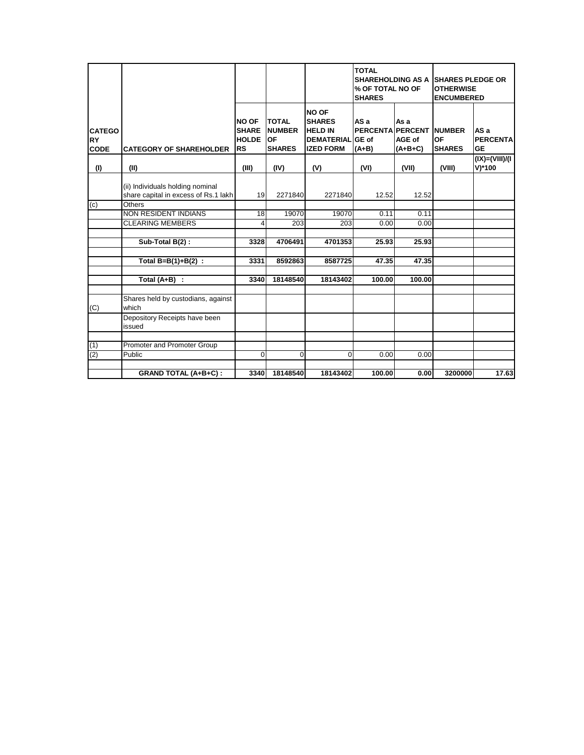|                                           |                                                                          |                                                           |                                                      |                                                                                          | <b>TOTAL</b><br><b>SHAREHOLDING AS A</b><br>% OF TOTAL NO OF<br><b>SHARES</b> |                             | <b>ISHARES PLEDGE OR</b><br><b>OTHERWISE</b><br><b>ENCUMBERED</b> |                                      |
|-------------------------------------------|--------------------------------------------------------------------------|-----------------------------------------------------------|------------------------------------------------------|------------------------------------------------------------------------------------------|-------------------------------------------------------------------------------|-----------------------------|-------------------------------------------------------------------|--------------------------------------|
| <b>CATEGO</b><br><b>RY</b><br><b>CODE</b> | <b>CATEGORY OF SHAREHOLDER</b>                                           | <b>NO OF</b><br><b>SHARE</b><br><b>HOLDE</b><br><b>RS</b> | <b>TOTAL</b><br><b>NUMBER</b><br>OF<br><b>SHARES</b> | <b>NO OF</b><br><b>SHARES</b><br><b>HELD IN</b><br><b>DEMATERIAL</b><br><b>IZED FORM</b> | AS a<br><b>PERCENTA PERCENT</b><br><b>GE</b> of<br>$(A+B)$                    | As a<br>AGE of<br>$(A+B+C)$ | <b>NUMBER</b><br>OF<br><b>SHARES</b>                              | AS a<br><b>PERCENTA</b><br><b>GE</b> |
| (1)                                       | (II)                                                                     | (III)                                                     | (IV)                                                 | (V)                                                                                      | (VI)                                                                          | (VII)                       | (VIII)                                                            | I)(III)/I<br>V)*100                  |
|                                           | (ii) Individuals holding nominal<br>share capital in excess of Rs.1 lakh | 19                                                        | 2271840                                              | 2271840                                                                                  | 12.52                                                                         | 12.52                       |                                                                   |                                      |
| (c)                                       | <b>Others</b>                                                            |                                                           |                                                      |                                                                                          |                                                                               |                             |                                                                   |                                      |
|                                           | <b>NON RESIDENT INDIANS</b>                                              | 18                                                        | 19070                                                | 19070                                                                                    | 0.11                                                                          | 0.11                        |                                                                   |                                      |
|                                           | <b>CLEARING MEMBERS</b>                                                  | $\overline{4}$                                            | 203                                                  | 203                                                                                      | 0.00                                                                          | 0.00                        |                                                                   |                                      |
|                                           | Sub-Total B(2):                                                          | 3328                                                      | 4706491                                              | 4701353                                                                                  | 25.93                                                                         | 25.93                       |                                                                   |                                      |
|                                           | Total $B=B(1)+B(2)$ :                                                    | 3331                                                      | 8592863                                              | 8587725                                                                                  | 47.35                                                                         | 47.35                       |                                                                   |                                      |
|                                           | Total $(A+B)$ :                                                          | 3340                                                      | 18148540                                             | 18143402                                                                                 | 100.00                                                                        | 100.00                      |                                                                   |                                      |
| (C)                                       | Shares held by custodians, against<br>which                              |                                                           |                                                      |                                                                                          |                                                                               |                             |                                                                   |                                      |
|                                           | Depository Receipts have been<br>issued                                  |                                                           |                                                      |                                                                                          |                                                                               |                             |                                                                   |                                      |
| (1)                                       | Promoter and Promoter Group                                              |                                                           |                                                      |                                                                                          |                                                                               |                             |                                                                   |                                      |
| (2)                                       | Public                                                                   | $\Omega$                                                  | 0                                                    | $\Omega$                                                                                 | 0.00                                                                          | 0.00                        |                                                                   |                                      |
|                                           | <b>GRAND TOTAL (A+B+C):</b>                                              | 3340                                                      | 18148540                                             | 18143402                                                                                 | 100.00                                                                        | 0.00                        | 3200000                                                           | 17.63                                |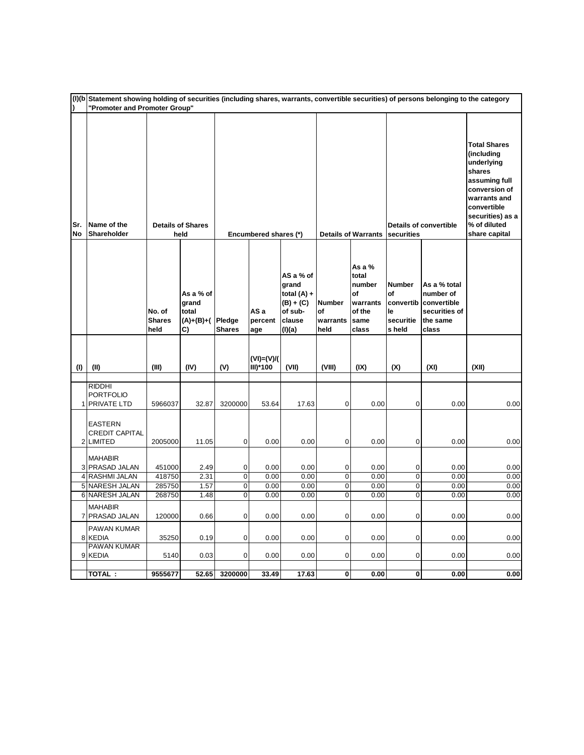| $\lambda$        | (I)(b Statement showing holding of securities (including shares, warrants, convertible securities) of persons belonging to the category<br>"Promoter and Promoter Group" |                                 |                                                |                         |                            |                                                                                   |                                         |                                                                          |                                                               |                                                                                |                                                                                                                                                                                 |
|------------------|--------------------------------------------------------------------------------------------------------------------------------------------------------------------------|---------------------------------|------------------------------------------------|-------------------------|----------------------------|-----------------------------------------------------------------------------------|-----------------------------------------|--------------------------------------------------------------------------|---------------------------------------------------------------|--------------------------------------------------------------------------------|---------------------------------------------------------------------------------------------------------------------------------------------------------------------------------|
| Sr.<br><b>No</b> | Name of the<br>Shareholder                                                                                                                                               |                                 | <b>Details of Shares</b><br>held               |                         | Encumbered shares (*)      |                                                                                   |                                         | <b>Details of Warrants</b>                                               | securities                                                    | <b>Details of convertible</b>                                                  | <b>Total Shares</b><br>(including<br>underlying<br>shares<br>assuming full<br>conversion of<br>warrants and<br>convertible<br>securities) as a<br>% of diluted<br>share capital |
|                  |                                                                                                                                                                          | No. of<br><b>Shares</b><br>held | As a % of<br>grand<br>total<br>(A)+(B)+(<br>C) | Pledge<br><b>Shares</b> | AS a<br>percent<br>age     | AS a % of<br>grand<br>total $(A) +$<br>$(B) + (C)$<br>of sub-<br>clause<br>(I)(a) | <b>Number</b><br>of<br>warrants<br>held | As a $%$<br>total<br>number<br>of<br>warrants<br>of the<br>same<br>class | <b>Number</b><br>of<br>convertib<br>le<br>securitie<br>s held | As a % total<br>number of<br>convertible<br>securities of<br>the same<br>class |                                                                                                                                                                                 |
| (1)              | (II)                                                                                                                                                                     | (III)                           | (IV)                                           | (V)                     | $(VI) = (V)/($<br>III)*100 | (VII)                                                                             | (VIII)                                  | (IX)                                                                     | (X)                                                           | (XI)                                                                           | (XII)                                                                                                                                                                           |
|                  | <b>RIDDHI</b><br><b>PORTFOLIO</b><br><b>PRIVATE LTD</b>                                                                                                                  | 5966037                         | 32.87                                          | 3200000                 | 53.64                      | 17.63                                                                             | $\overline{0}$                          | 0.00                                                                     | $\mathbf 0$                                                   | 0.00                                                                           | 0.00                                                                                                                                                                            |
|                  | <b>EASTERN</b><br><b>CREDIT CAPITAL</b><br>2 LIMITED                                                                                                                     | 2005000                         | 11.05                                          | $\mathbf 0$             | 0.00                       | 0.00                                                                              | 0                                       | 0.00                                                                     | 0                                                             | 0.00                                                                           | 0.00                                                                                                                                                                            |
|                  | <b>MAHABIR</b><br>3 PRASAD JALAN                                                                                                                                         | 451000                          | 2.49                                           | 0                       | 0.00                       | 0.00                                                                              | 0                                       | 0.00                                                                     | 0                                                             | 0.00                                                                           | 0.00                                                                                                                                                                            |
|                  | 4 RASHMI JALAN                                                                                                                                                           | 418750                          | 2.31                                           | $\mathbf 0$             | 0.00                       | 0.00                                                                              | 0                                       | 0.00                                                                     | $\pmb{0}$                                                     | 0.00                                                                           | 0.00                                                                                                                                                                            |
|                  | 5 NARESH JALAN                                                                                                                                                           | 285750                          | 1.57                                           | $\overline{\mathbf{0}}$ | 0.00                       | 0.00                                                                              | $\overline{0}$                          | 0.00                                                                     | $\overline{0}$                                                | 0.00                                                                           | 0.00                                                                                                                                                                            |
|                  | 6 NARESH JALAN                                                                                                                                                           | 268750                          | 1.48                                           | $\overline{0}$          | 0.00                       | 0.00                                                                              | $\overline{0}$                          | 0.00                                                                     | $\overline{0}$                                                | 0.00                                                                           | 0.00                                                                                                                                                                            |
|                  | <b>MAHABIR</b><br>7 PRASAD JALAN                                                                                                                                         | 120000                          | 0.66                                           | $\mathbf 0$             | 0.00                       | 0.00                                                                              | 0                                       | 0.00                                                                     | $\mathbf 0$                                                   | 0.00                                                                           | 0.00                                                                                                                                                                            |
|                  | PAWAN KUMAR<br>8 KEDIA                                                                                                                                                   | 35250                           | 0.19                                           | $\mathbf 0$             | 0.00                       | 0.00                                                                              | $\overline{0}$                          | 0.00                                                                     | 0                                                             | 0.00                                                                           | 0.00                                                                                                                                                                            |
|                  | <b>PAWAN KUMAR</b><br>9 KEDIA                                                                                                                                            | 5140                            | 0.03                                           | $\overline{0}$          | 0.00                       | 0.00                                                                              | $\overline{0}$                          | 0.00                                                                     | $\mathbf 0$                                                   | 0.00                                                                           | 0.00                                                                                                                                                                            |
|                  | TOTAL:                                                                                                                                                                   | 9555677                         | 52.65                                          | 3200000                 | 33.49                      | 17.63                                                                             | $\overline{0}$                          | 0.00                                                                     | $\pmb{0}$                                                     | 0.00                                                                           | 0.00                                                                                                                                                                            |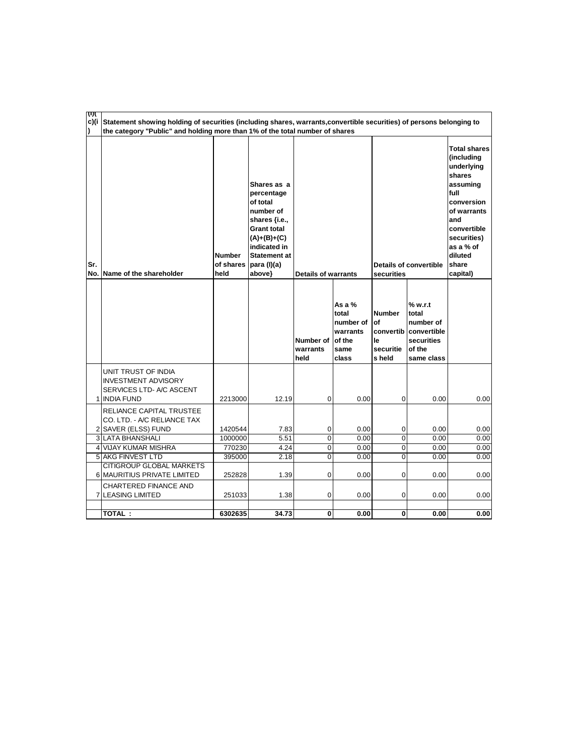| एग्र | c)(i Statement showing holding of securities (including shares, warrants, convertible securities) of persons belonging to<br>the category "Public" and holding more than 1% of the total number of shares |                                    |                                                                                                                                                                          |                               |                                                                     |                                                   |                                                                                              |                                                                                                                                                                                              |
|------|-----------------------------------------------------------------------------------------------------------------------------------------------------------------------------------------------------------|------------------------------------|--------------------------------------------------------------------------------------------------------------------------------------------------------------------------|-------------------------------|---------------------------------------------------------------------|---------------------------------------------------|----------------------------------------------------------------------------------------------|----------------------------------------------------------------------------------------------------------------------------------------------------------------------------------------------|
| Sr.  | No. Name of the shareholder                                                                                                                                                                               | <b>Number</b><br>of shares<br>held | Shares as a<br>percentage<br>of total<br>number of<br>shares {i.e.,<br><b>Grant total</b><br>(A)+(B)+(C)<br>indicated in<br><b>Statement at</b><br>para (I)(a)<br>above} | <b>Details of warrants</b>    |                                                                     | securities                                        | <b>Details of convertible</b>                                                                | <b>Total shares</b><br>(including<br>underlying<br>shares<br>assuming<br>full<br>conversion<br>of warrants<br>and<br>convertible<br>securities)<br>as a % of<br>diluted<br>share<br>capital) |
|      |                                                                                                                                                                                                           |                                    |                                                                                                                                                                          | Number of<br>warrants<br>held | As a %<br>total<br>number of<br>warrants<br>of the<br>same<br>class | <b>Number</b><br>lof<br>le<br>securitie<br>s held | % w.r.t<br>total<br>number of<br>convertib convertible<br>securities<br>of the<br>same class |                                                                                                                                                                                              |
|      | UNIT TRUST OF INDIA<br><b>INVESTMENT ADVISORY</b><br>SERVICES LTD- A/C ASCENT<br>1 INDIA FUND                                                                                                             | 2213000                            | 12.19                                                                                                                                                                    | 0                             | 0.00                                                                | 0                                                 | 0.00                                                                                         | 0.00                                                                                                                                                                                         |
|      | RELIANCE CAPITAL TRUSTEE<br>CO. LTD. - A/C RELIANCE TAX<br>2 SAVER (ELSS) FUND                                                                                                                            | 1420544                            | 7.83                                                                                                                                                                     | 0                             | 0.00                                                                | 0                                                 | 0.00                                                                                         | 0.00                                                                                                                                                                                         |
|      | 3 LATA BHANSHALI                                                                                                                                                                                          | 1000000                            | 5.51                                                                                                                                                                     | $\mathbf 0$                   | 0.00                                                                | $\overline{0}$                                    | 0.00                                                                                         | 0.00                                                                                                                                                                                         |
|      | 4 VIJAY KUMAR MISHRA                                                                                                                                                                                      | 770230                             | 4.24                                                                                                                                                                     | 0                             | 0.00                                                                | 0                                                 | 0.00                                                                                         | 0.00                                                                                                                                                                                         |
|      | 5 AKG FINVEST LTD                                                                                                                                                                                         | 395000                             | 2.18                                                                                                                                                                     | 0                             | 0.00                                                                | 0                                                 | 0.00                                                                                         | 0.00                                                                                                                                                                                         |
|      | <b>CITIGROUP GLOBAL MARKETS</b><br>6 MAURITIUS PRIVATE LIMITED                                                                                                                                            | 252828                             | 1.39                                                                                                                                                                     | 0                             | 0.00                                                                | 0                                                 | 0.00                                                                                         | 0.00                                                                                                                                                                                         |
|      | CHARTERED FINANCE AND<br><b>7 ILEASING LIMITED</b>                                                                                                                                                        | 251033                             | 1.38                                                                                                                                                                     | 0                             | 0.00                                                                | 0                                                 | 0.00                                                                                         | 0.00                                                                                                                                                                                         |
|      | TOTAL:                                                                                                                                                                                                    | 6302635                            | 34.73                                                                                                                                                                    | 0                             | 0.00                                                                | $\overline{\mathbf{0}}$                           | 0.00                                                                                         | 0.00                                                                                                                                                                                         |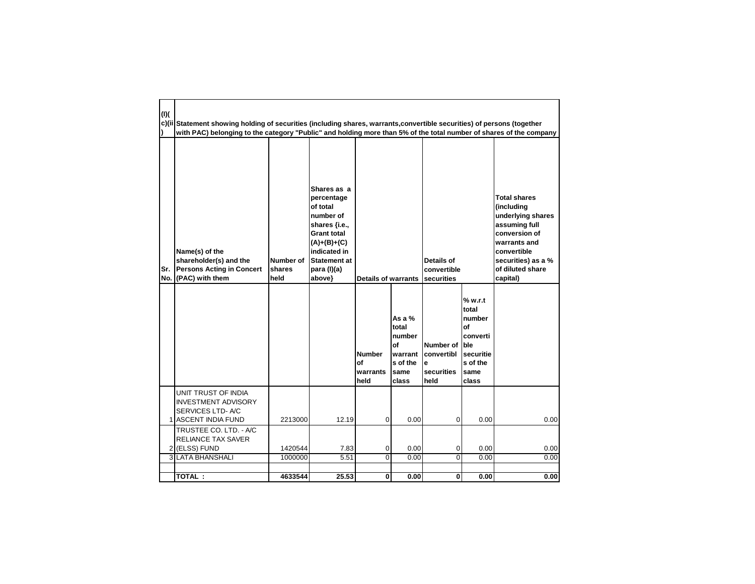| (1)(       | c)(ii Statement showing holding of securities (including shares, warrants, convertible securities) of persons (together<br>with PAC) belonging to the category "Public" and holding more than 5% of the total number of shares of the company |                             |                                                                                                                                                                            |                                         |                                                                           |                                                                |                                                                                        |                                                                                                                                                                               |
|------------|-----------------------------------------------------------------------------------------------------------------------------------------------------------------------------------------------------------------------------------------------|-----------------------------|----------------------------------------------------------------------------------------------------------------------------------------------------------------------------|-----------------------------------------|---------------------------------------------------------------------------|----------------------------------------------------------------|----------------------------------------------------------------------------------------|-------------------------------------------------------------------------------------------------------------------------------------------------------------------------------|
| Sr.<br>No. | Name(s) of the<br>shareholder(s) and the<br><b>Persons Acting in Concert</b><br>(PAC) with them                                                                                                                                               | Number of<br>shares<br>held | Shares as a<br>percentage<br>of total<br>number of<br>shares {i.e.,<br><b>Grant total</b><br>$(A)+(B)+(C)$<br>indicated in<br><b>Statement at</b><br>para (I)(a)<br>above} | <b>Details of warrants</b>              |                                                                           | Details of<br>convertible<br>securities                        |                                                                                        | <b>Total shares</b><br>(including<br>underlying shares<br>assuming full<br>conversion of<br>warrants and<br>convertible<br>securities) as a %<br>of diluted share<br>capital) |
|            |                                                                                                                                                                                                                                               |                             |                                                                                                                                                                            | <b>Number</b><br>οf<br>warrants<br>held | As a $%$<br>total<br>number<br>of<br>warrant<br>s of the<br>same<br>class | Number of Ible<br><b>convertibl</b><br>e<br>securities<br>held | % w.r.t<br>total<br>number<br>Οf<br>converti<br>securitie<br>s of the<br>same<br>class |                                                                                                                                                                               |
|            | UNIT TRUST OF INDIA<br><b>INVESTMENT ADVISORY</b><br>SERVICES LTD-A/C<br>1 ASCENT INDIA FUND                                                                                                                                                  | 2213000                     | 12.19                                                                                                                                                                      | 0                                       | 0.00                                                                      | 0                                                              | 0.00                                                                                   | 0.00                                                                                                                                                                          |
|            | TRUSTEE CO. LTD. - A/C<br>RELIANCE TAX SAVER<br>2 (ELSS) FUND<br><b>3 LATA BHANSHALI</b>                                                                                                                                                      | 1420544<br>1000000          | 7.83<br>5.51                                                                                                                                                               | 0<br>0                                  | 0.00<br>0.00                                                              | 0<br>$\mathbf{0}$                                              | 0.00<br>0.00                                                                           | 0.00<br>0.00                                                                                                                                                                  |
|            | TOTAL :                                                                                                                                                                                                                                       | 4633544                     | 25.53                                                                                                                                                                      | 0                                       | 0.00                                                                      | 0                                                              | 0.00                                                                                   | 0.00                                                                                                                                                                          |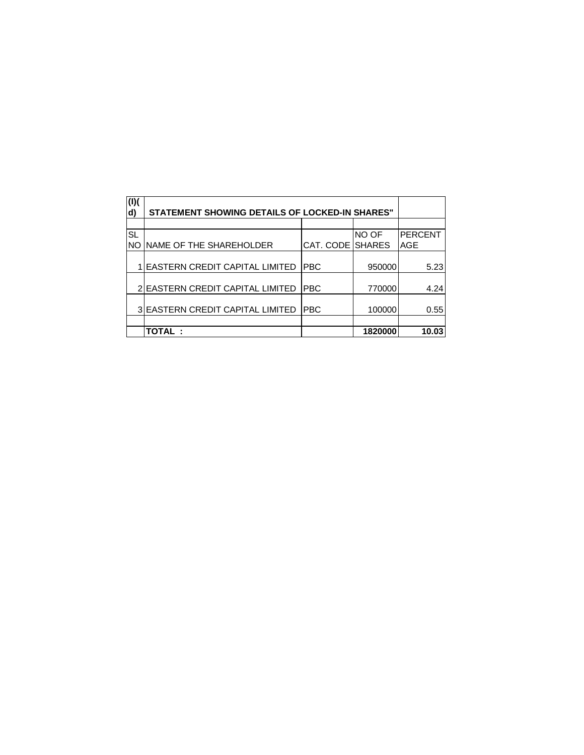| (1)(<br>d) | <b>STATEMENT SHOWING DETAILS OF LOCKED-IN SHARES"</b> |                         |         |                |
|------------|-------------------------------------------------------|-------------------------|---------|----------------|
|            |                                                       |                         |         |                |
| <b>SL</b>  |                                                       |                         | NO OF   | <b>PERCENT</b> |
| <b>NO</b>  | NAME OF THE SHAREHOLDER                               | <b>CAT. CODE SHARES</b> |         | AGE            |
|            | <b>EASTERN CREDIT CAPITAL LIMITED</b>                 | <b>PBC</b>              | 950000  | 5.23           |
|            | <b>EASTERN CREDIT CAPITAL LIMITED</b>                 | <b>PBC</b>              | 770000  | 4.24           |
|            | 3 EASTERN CREDIT CAPITAL LIMITED                      | <b>PBC</b>              | 100000  | 0.55           |
|            |                                                       |                         |         |                |
|            | <b>TOTAL:</b>                                         |                         | 1820000 | 10.03          |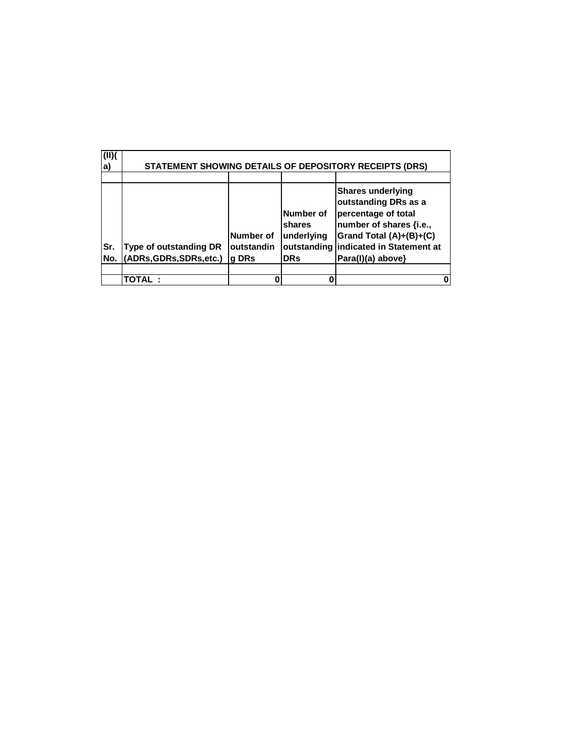| (II)<br> a) | STATEMENT SHOWING DETAILS OF DEPOSITORY RECEIPTS (DRS)    |                                  |                                                                |                                                                                                                                                                                 |  |  |  |  |
|-------------|-----------------------------------------------------------|----------------------------------|----------------------------------------------------------------|---------------------------------------------------------------------------------------------------------------------------------------------------------------------------------|--|--|--|--|
|             |                                                           |                                  |                                                                |                                                                                                                                                                                 |  |  |  |  |
| Sr.<br>No.  | <b>Type of outstanding DR</b><br>(ADRs, GDRs, SDRs, etc.) | Number of<br>outstandin<br>g DRs | Number of<br>shares<br>underlying<br>outstanding<br><b>DRs</b> | <b>Shares underlying</b><br>outstanding DRs as a<br>percentage of total<br>number of shares {i.e.,<br>Grand Total (A)+(B)+(C)<br>indicated in Statement at<br>Para(I)(a) above} |  |  |  |  |
|             |                                                           |                                  |                                                                |                                                                                                                                                                                 |  |  |  |  |
|             | TOTAL:                                                    |                                  |                                                                | 0                                                                                                                                                                               |  |  |  |  |